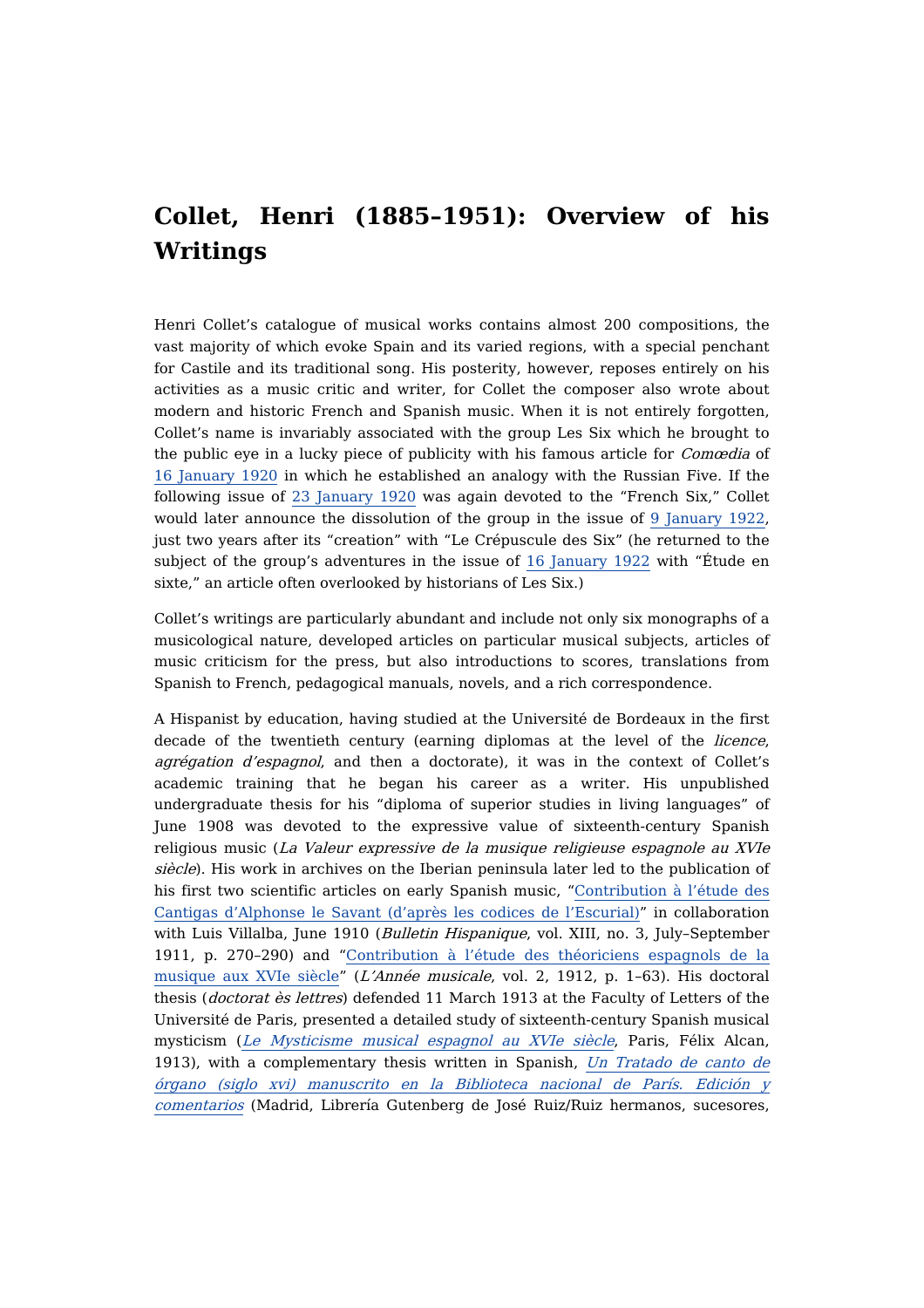## **Collet, Henri (1885–1951): Overview of his Writings**

Henri Collet's catalogue of musical works contains almost 200 compositions, the vast majority of which evoke Spain and its varied regions, with a special penchant for Castile and its traditional song. His posterity, however, reposes entirely on his activities as a music critic and writer, for Collet the composer also wrote about modern and historic French and Spanish music. When it is not entirely forgotten, Collet's name is invariably associated with the group Les Six which he brought to the public eye in a lucky piece of publicity with his famous article for Comœdia of 16 [January](https://dicteco.huma-num.fr/fr/article/45198) 1920 in which he established an analogy with the Russian Five. If the following issue of 23 [January](https://dicteco.huma-num.fr/fr/article/45205) 1920 was again devoted to the "French Six," Collet would later announce the dissolution of the group in the issue of 9 [January](https://dicteco.huma-num.fr/fr/article/45214) 1922, just two years after its "creation" with "Le Crépuscule des Six" (he returned to the subject of the group's adventures in the issue of 16 [January](https://dicteco.huma-num.fr/fr/article/45220) 1922 with "Étude en sixte," an article often overlooked by historians of Les Six.)

Collet's writings are particularly abundant and include not only six monographs of a musicological nature, developed articles on particular musical subjects, articles of music criticism for the press, but also introductions to scores, translations from Spanish to French, pedagogical manuals, novels, and a rich correspondence.

A Hispanist by education, having studied at the Université de Bordeaux in the first decade of the twentieth century (earning diplomas at the level of the *licence*, agrégation d'espagnol, and then a doctorate), it was in the context of Collet's academic training that he began his career as a writer. His unpublished undergraduate thesis for his "diploma of superior studies in living languages" of June 1908 was devoted to the expressive value of sixteenth-century Spanish religious music (La Valeur expressive de la musique religieuse espagnole au XVIe siècle). His work in archives on the Iberian peninsula later led to the publication of his first two scientific articles on early Spanish music, ["Contribution](https://dicteco.huma-num.fr/fr/article/45229) à l'étude des Cantigas d'Alphonse le Savant (d'après les codices de l'Escurial)" in collaboration with Luis Villalba, June 1910 (Bulletin Hispanique, vol. XIII, no. 3, July-September 1911, p. 270–290) and ["Contribution](https://dicteco.huma-num.fr/fr/article/45238) à l'étude des théoriciens espagnols de la musique aux XVIe siècle" (L'Année musicale, vol. 2, 1912, p. 1–63). His doctoral thesis (doctorat ès lettres) defended 11 March 1913 at the Faculty of Letters of the Université de Paris, presented a detailed study of sixteenth-century Spanish musical mysticism (Le [Mysticisme](https://dicteco.huma-num.fr/fr/book/2361) musical espagnol au XVIe siècle, Paris, Félix Alcan, 1913), with a [complementary](https://dicteco.huma-num.fr/fr/book/2363) thesis written in Spanish, Un Tratado de canto de órgano (siglo xvi) manuscrito en la Biblioteca nacional de París. Edición y comentarios (Madrid, Librería Gutenberg de José Ruiz/Ruiz hermanos, sucesores,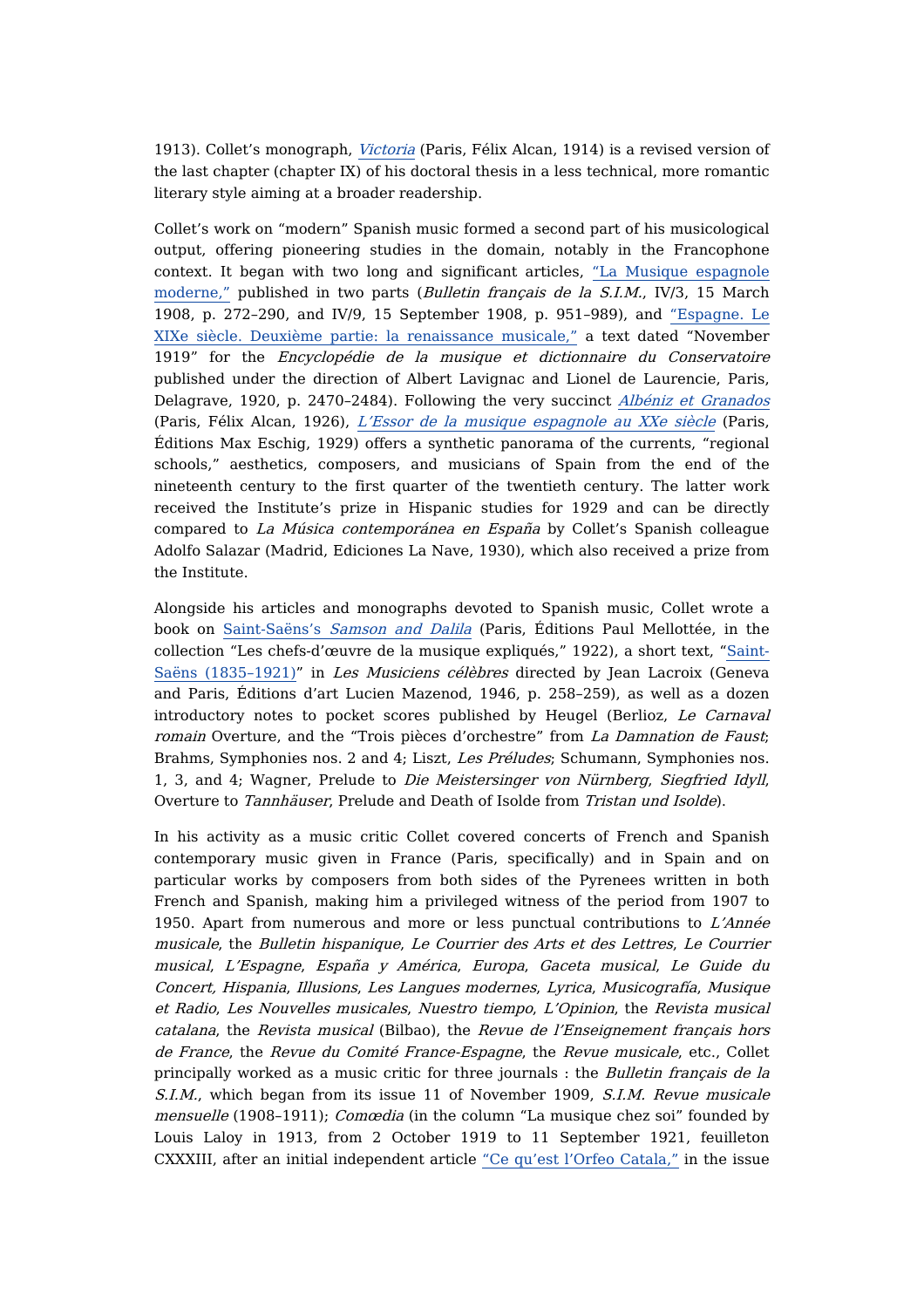1913). Collet's monograph, [Victoria](https://dicteco.huma-num.fr/fr/book/2365) (Paris, Félix Alcan, 1914) is a revised version of the last chapter (chapter IX) of his doctoral thesis in a less technical, more romantic literary style aiming at a broader readership.

Collet's work on "modern" Spanish music formed a second part of his musicological output, offering pioneering studies in the domain, notably in the Francophone context. It began with two long and [significant](https://dicteco.huma-num.fr/fr/article/45256) articles, "La Musique espagnole moderne," published in two parts (Bulletin français de la S.I.M., IV/3, 15 March 1908, p. 272–290, and IV/9, 15 September 1908, p. 951–989), and "Espagne. Le XIXe siècle. Deuxième partie: la [renaissance](https://dicteco.huma-num.fr/fr/workchapter/45268) musicale," a text dated "November 1919" for the Encyclopédie de la musique et dictionnaire du Conservatoire published under the direction of Albert Lavignac and Lionel de Laurencie, Paris, Delagrave, 1920, p. 2470–2484). Following the very succinct Albéniz et [Granados](https://dicteco.huma-num.fr/fr/book/2366) (Paris, Félix Alcan, 1926), L'Essor de la musique [espagnole](https://dicteco.huma-num.fr/fr/book/2366) au XXe siècle (Paris, Éditions Max Eschig, 1929) offers a synthetic panorama of the currents, "regional schools," aesthetics, composers, and musicians of Spain from the end of the nineteenth century to the first quarter of the twentieth century. The latter work received the Institute's prize in Hispanic studies for 1929 and can be directly compared to La Música contemporánea en España by Collet's Spanish colleague Adolfo Salazar (Madrid, Ediciones La Nave, 1930), which also received a prize from the Institute.

Alongside his articles and monographs devoted to Spanish music, Collet wrote a book on [Saint-Saëns's](https://dicteco.huma-num.fr/fr/book/45277) Samson and Dalila (Paris, Éditions Paul Mellottée, in the collection "Les [chefs-d'œuvre](https://dicteco.huma-num.fr/fr/workchapter/45285) de la musique expliqués," 1922), a short text, "Saint-Saëns (1835-1921)" in Les Musiciens célèbres directed by Jean Lacroix (Geneva and Paris, Éditions d'art Lucien Mazenod, 1946, p. 258–259), as well as a dozen introductory notes to pocket scores published by Heugel (Berlioz, Le Carnaval romain Overture, and the "Trois pièces d'orchestre" from La Damnation de Faust; Brahms, Symphonies nos. 2 and 4; Liszt, Les Préludes; Schumann, Symphonies nos. 1, 3, and 4; Wagner, Prelude to Die Meistersinger von Nürnberg, Siegfried Idyll, Overture to Tannhäuser, Prelude and Death of Isolde from Tristan und Isolde).

In his activity as a music critic Collet covered concerts of French and Spanish contemporary music given in France (Paris, specifically) and in Spain and on particular works by composers from both sides of the Pyrenees written in both French and Spanish, making him a privileged witness of the period from 1907 to 1950. Apart from numerous and more or less punctual contributions to  $L'Ann\acute{e}e$ musicale, the Bulletin hispanique, Le Courrier des Arts et des Lettres, Le Courrier musical, L'Espagne, España y América, Europa, Gaceta musical, Le Guide du Concert, Hispania, Illusions, Les Langues modernes, Lyrica, Musicografía, Musique et Radio, Les Nouvelles musicales, Nuestro tiempo, L'Opinion, the Revista musical catalana, the Revista musical (Bilbao), the Revue de l'Enseignement français hors de France, the Revue du Comité France-Espagne, the Revue musicale, etc., Collet principally worked as a music critic for three journals : the Bulletin français de la S.I.M., which began from its issue 11 of November 1909, S.I.M. Revue musicale mensuelle (1908–1911); Comœdia (in the column "La musique chez soi" founded by Louis Laloy in 1913, from 2 October 1919 to 11 September 1921, feuilleton CXXXIII, after an initial independent article "Ce qu'est l'Orfeo [Catala,"](https://dicteco.huma-num.fr/fr/article/45291) in the issue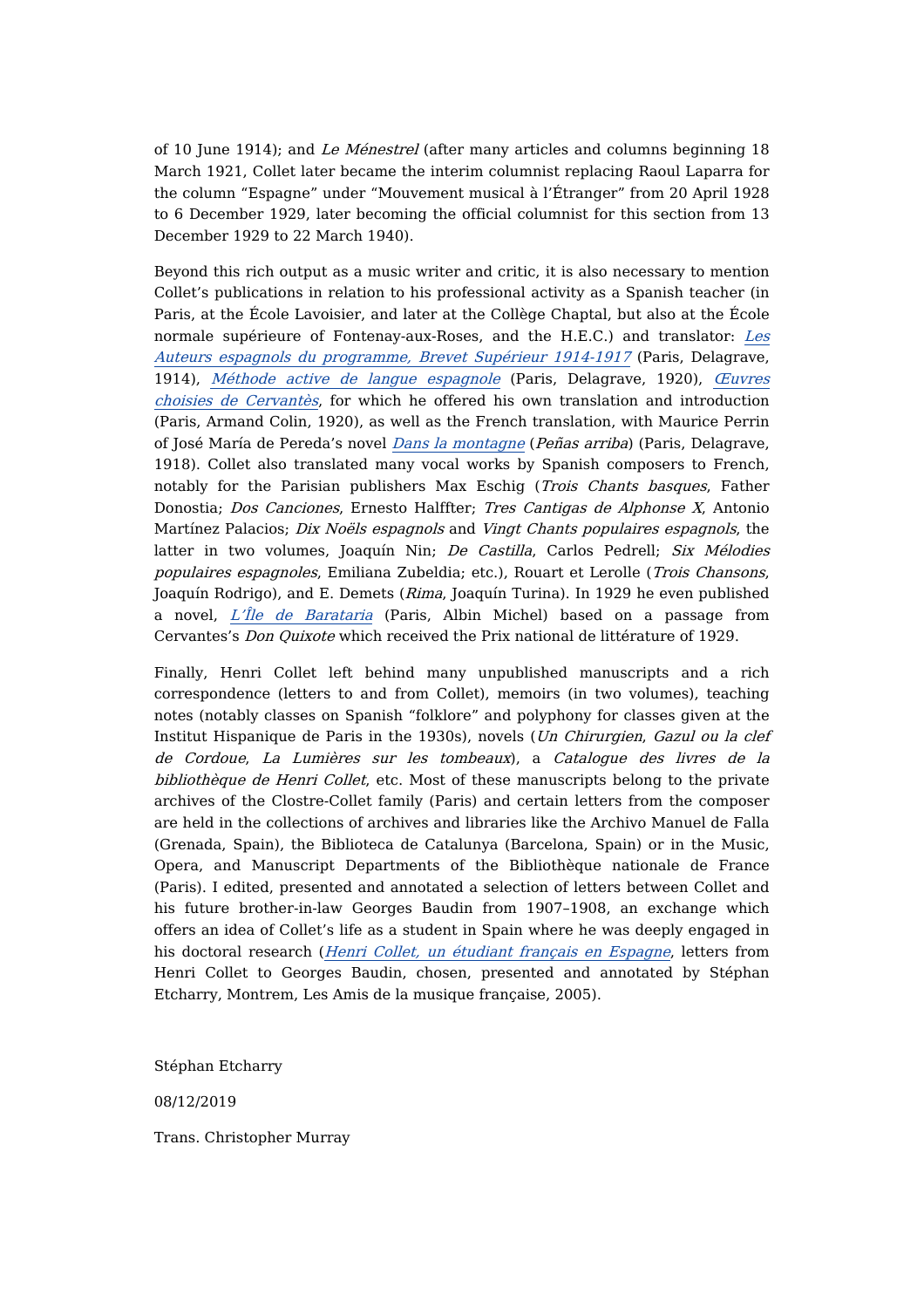of 10 June 1914); and Le Ménestrel (after many articles and columns beginning 18 March 1921, Collet later became the interim columnist replacing Raoul Laparra for the column "Espagne" under "Mouvement musical à l'Étranger" from 20 April 1928 to 6 December 1929, later becoming the official columnist for this section from 13 December 1929 to 22 March 1940).

Beyond this rich output as a music writer and critic, it is also necessary to mention Collet's publications in relation to his professional activity as a Spanish teacher (in Paris, at the École Lavoisier, and later at the Collège Chaptal, but also at the École normale supérieure of [Fontenay-aux-Roses,](https://dicteco.huma-num.fr/fr/book/45295) and the H.E.C.) and translator: Les Auteurs espagnols du programme, Brevet Supérieur 1914-1917 (Paris, Delagrave, 1914), Méthode active de langue [espagnole](https://dicteco.huma-num.fr/fr/book/2371) (Paris, Delagrave, 1920), Œuvres choisies de Cervantès, for which he offered his own translation and [introduction](https://dicteco.huma-num.fr/fr/book/45305) (Paris, Armand Colin, 1920), as well as the French translation, with Maurice Perrin of José María de Pereda's novel Dans la [montagne](https://dicteco.huma-num.fr/fr/book/45320) (Peñas arriba) (Paris, Delagrave, 1918). Collet also translated many vocal works by Spanish composers to French, notably for the Parisian publishers Max Eschig (Trois Chants basques, Father Donostia; Dos Canciones, Ernesto Halffter; Tres Cantigas de Alphonse X, Antonio Martínez Palacios; Dix Noëls espagnols and Vingt Chants populaires espagnols, the latter in two volumes, Joaquín Nin; De Castilla, Carlos Pedrell; Six Mélodies populaires espagnoles, Emiliana Zubeldia; etc.), Rouart et Lerolle (Trois Chansons, Joaquín Rodrigo), and E. Demets (Rima, Joaquín Turina). In 1929 he even published a novel, L'Île de [Barataria](https://dicteco.huma-num.fr/fr/book/2368) (Paris, Albin Michel) based on a passage from Cervantes's Don Quixote which received the Prix national de littérature of 1929.

Finally, Henri Collet left behind many unpublished manuscripts and a rich correspondence (letters to and from Collet), memoirs (in two volumes), teaching notes (notably classes on Spanish "folklore" and polyphony for classes given at the Institut Hispanique de Paris in the 1930s), novels (Un Chirurgien, Gazul ou la clef de Cordoue, La Lumières sur les tombeaux), a Catalogue des livres de la bibliothèque de Henri Collet, etc. Most of these manuscripts belong to the private archives of the Clostre-Collet family (Paris) and certain letters from the composer are held in the collections of archives and libraries like the Archivo Manuel de Falla (Grenada, Spain), the Biblioteca de Catalunya (Barcelona, Spain) or in the Music, Opera, and Manuscript Departments of the Bibliothèque nationale de France (Paris). I edited, presented and annotated a selection of letters between Collet and his future brother-in-law Georges Baudin from 1907–1908, an exchange which offers an idea of Collet's life as a student in Spain where he was deeply engaged in his doctoral research (Henri Collet, un étudiant français en [Espagne](https://dicteco.huma-num.fr/fr/anthology/45327), letters from Henri Collet to Georges Baudin, chosen, presented and annotated by Stéphan Etcharry, Montrem, Les Amis de la musique française, 2005).

Stéphan Etcharry

08/12/2019

Trans. Christopher Murray